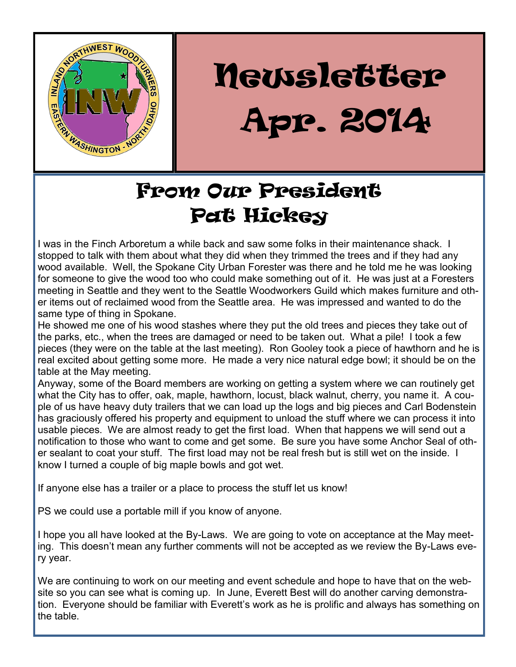

# Newsletter Newsletter Apr. 2014

## From Our President Pat Hickey

I was in the Finch Arboretum a while back and saw some folks in their maintenance shack. I stopped to talk with them about what they did when they trimmed the trees and if they had any wood available. Well, the Spokane City Urban Forester was there and he told me he was looking for someone to give the wood too who could make something out of it. He was just at a Foresters meeting in Seattle and they went to the Seattle Woodworkers Guild which makes furniture and other items out of reclaimed wood from the Seattle area. He was impressed and wanted to do the same type of thing in Spokane.

He showed me one of his wood stashes where they put the old trees and pieces they take out of the parks, etc., when the trees are damaged or need to be taken out. What a pile! I took a few pieces (they were on the table at the last meeting). Ron Gooley took a piece of hawthorn and he is real excited about getting some more. He made a very nice natural edge bowl; it should be on the table at the May meeting.

Anyway, some of the Board members are working on getting a system where we can routinely get what the City has to offer, oak, maple, hawthorn, locust, black walnut, cherry, you name it. A couple of us have heavy duty trailers that we can load up the logs and big pieces and Carl Bodenstein has graciously offered his property and equipment to unload the stuff where we can process it into usable pieces. We are almost ready to get the first load. When that happens we will send out a notification to those who want to come and get some. Be sure you have some Anchor Seal of other sealant to coat your stuff. The first load may not be real fresh but is still wet on the inside. I know I turned a couple of big maple bowls and got wet.

If anyone else has a trailer or a place to process the stuff let us know!

PS we could use a portable mill if you know of anyone.

I hope you all have looked at the By-Laws. We are going to vote on acceptance at the May meeting. This doesn't mean any further comments will not be accepted as we review the By-Laws every year.

We are continuing to work on our meeting and event schedule and hope to have that on the website so you can see what is coming up. In June, Everett Best will do another carving demonstration. Everyone should be familiar with Everett's work as he is prolific and always has something on the table.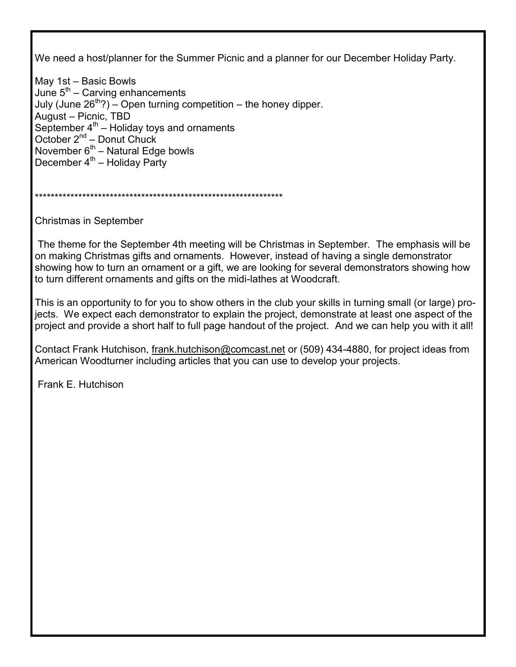We need a host/planner for the Summer Picnic and a planner for our December Holiday Party.

May 1st – Basic Bowls June 5<sup>th</sup> – Carving enhancements July (June  $26^{th}$ ?) – Open turning competition – the honey dipper. August – Picnic, TBD September  $4^{\text{th}}$  – Holiday toys and ornaments October 2<sup>nd</sup> – Donut Chuck November  $6<sup>th</sup>$  – Natural Edge bowls December  $4<sup>th</sup>$  – Holiday Party

\*\*\*\*\*\*\*\*\*\*\*\*\*\*\*\*\*\*\*\*\*\*\*\*\*\*\*\*\*\*\*\*\*\*\*\*\*\*\*\*\*\*\*\*\*\*\*\*\*\*\*\*\*\*\*\*\*\*\*\*\*\*\*

Christmas in September

The theme for the September 4th meeting will be Christmas in September. The emphasis will be on making Christmas gifts and ornaments. However, instead of having a single demonstrator showing how to turn an ornament or a gift, we are looking for several demonstrators showing how to turn different ornaments and gifts on the midi-lathes at Woodcraft.

This is an opportunity to for you to show others in the club your skills in turning small (or large) projects. We expect each demonstrator to explain the project, demonstrate at least one aspect of the project and provide a short half to full page handout of the project. And we can help you with it all!

Contact Frank Hutchison, [frank.hutchison@comcast.net](mailto:frank.hutchison@comcast.net) or (509) 434-4880, for project ideas from American Woodturner including articles that you can use to develop your projects.

Frank E. Hutchison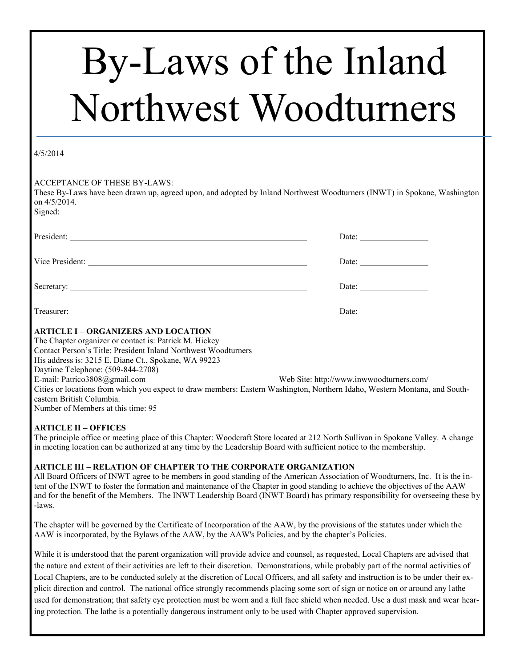# By-Laws of the Inland Northwest Woodturners

#### 4/5/2014

ACCEPTANCE OF THESE BY-LAWS:

These By-Laws have been drawn up, agreed upon, and adopted by Inland Northwest Woodturners (INWT) in Spokane, Washington on 4/5/2014. Signed:

| Vice President: <u>University</u> 2014                                                               | Date: $\frac{1}{\sqrt{1-\frac{1}{2}} \cdot \frac{1}{2}}$ |
|------------------------------------------------------------------------------------------------------|----------------------------------------------------------|
|                                                                                                      |                                                          |
|                                                                                                      | Date: $\frac{1}{\sqrt{1-\frac{1}{2}} \cdot \frac{1}{2}}$ |
| <b>ARTICLE I - ORGANIZERS AND LOCATION</b><br>The Chapter organizer or contact is: Patrick M. Hickey |                                                          |

Contact Person's Title: President Inland Northwest Woodturners His address is: 3215 E. Diane Ct., Spokane, WA 99223 Daytime Telephone: (509-844-2708) E-mail: [Patrico3808@gmail.com](mailto:Patrico3808@gmail.com) Web Site: http://www.inwwoodturners.com/ Cities or locations from which you expect to draw members: Eastern Washington, Northern Idaho, Western Montana, and Southeastern British Columbia. Number of Members at this time: 95

#### **ARTICLE II – OFFICES**

The principle office or meeting place of this Chapter: Woodcraft Store located at 212 North Sullivan in Spokane Valley. A change in meeting location can be authorized at any time by the Leadership Board with sufficient notice to the membership.

#### **ARTICLE III – RELATION OF CHAPTER TO THE CORPORATE ORGANIZATION**

All Board Officers of INWT agree to be members in good standing of the American Association of Woodturners, Inc. It is the intent of the INWT to foster the formation and maintenance of the Chapter in good standing to achieve the objectives of the AAW and for the benefit of the Members. The INWT Leadership Board (INWT Board) has primary responsibility for overseeing these by -laws.

The chapter will be governed by the Certificate of Incorporation of the AAW, by the provisions of the statutes under which the AAW is incorporated, by the Bylaws of the AAW, by the AAW's Policies, and by the chapter's Policies.

While it is understood that the parent organization will provide advice and counsel, as requested, Local Chapters are advised that the nature and extent of their activities are left to their discretion. Demonstrations, while probably part of the normal activities of Local Chapters, are to be conducted solely at the discretion of Local Officers, and all safety and instruction is to be under their explicit direction and control. The national office strongly recommends placing some sort of sign or notice on or around any lathe used for demonstration; that safety eye protection must be worn and a full face shield when needed. Use a dust mask and wear hearing protection. The lathe is a potentially dangerous instrument only to be used with Chapter approved supervision.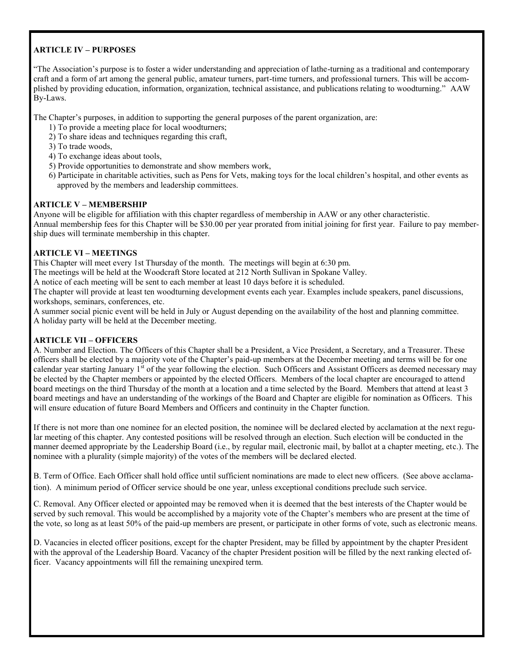#### **ARTICLE IV – PURPOSES**

"The Association's purpose is to foster a wider understanding and appreciation of lathe-turning as a traditional and contemporary craft and a form of art among the general public, amateur turners, part-time turners, and professional turners. This will be accomplished by providing education, information, organization, technical assistance, and publications relating to woodturning." AAW By-Laws.

The Chapter's purposes, in addition to supporting the general purposes of the parent organization, are:

- 1) To provide a meeting place for local woodturners;
- 2) To share ideas and techniques regarding this craft,
- 3) To trade woods,
- 4) To exchange ideas about tools,
- 5) Provide opportunities to demonstrate and show members work,
- 6) Participate in charitable activities, such as Pens for Vets, making toys for the local children's hospital, and other events as approved by the members and leadership committees.

#### **ARTICLE V – MEMBERSHIP**

Anyone will be eligible for affiliation with this chapter regardless of membership in AAW or any other characteristic. Annual membership fees for this Chapter will be \$30.00 per year prorated from initial joining for first year. Failure to pay membership dues will terminate membership in this chapter.

#### **ARTICLE VI – MEETINGS**

This Chapter will meet every 1st Thursday of the month. The meetings will begin at 6:30 pm.

The meetings will be held at the Woodcraft Store located at 212 North Sullivan in Spokane Valley.

A notice of each meeting will be sent to each member at least 10 days before it is scheduled.

The chapter will provide at least ten woodturning development events each year. Examples include speakers, panel discussions, workshops, seminars, conferences, etc.

A summer social picnic event will be held in July or August depending on the availability of the host and planning committee. A holiday party will be held at the December meeting.

#### **ARTICLE VII – OFFICERS**

A. Number and Election. The Officers of this Chapter shall be a President, a Vice President, a Secretary, and a Treasurer. These officers shall be elected by a majority vote of the Chapter's paid-up members at the December meeting and terms will be for one calendar year starting January 1<sup>st</sup> of the year following the election. Such Officers and Assistant Officers as deemed necessary may be elected by the Chapter members or appointed by the elected Officers. Members of the local chapter are encouraged to attend board meetings on the third Thursday of the month at a location and a time selected by the Board. Members that attend at least 3 board meetings and have an understanding of the workings of the Board and Chapter are eligible for nomination as Officers. This will ensure education of future Board Members and Officers and continuity in the Chapter function.

If there is not more than one nominee for an elected position, the nominee will be declared elected by acclamation at the next regular meeting of this chapter. Any contested positions will be resolved through an election. Such election will be conducted in the manner deemed appropriate by the Leadership Board (i.e., by regular mail, electronic mail, by ballot at a chapter meeting, etc.). The nominee with a plurality (simple majority) of the votes of the members will be declared elected.

B. Term of Office. Each Officer shall hold office until sufficient nominations are made to elect new officers. (See above acclamation). A minimum period of Officer service should be one year, unless exceptional conditions preclude such service.

C. Removal. Any Officer elected or appointed may be removed when it is deemed that the best interests of the Chapter would be served by such removal. This would be accomplished by a majority vote of the Chapter's members who are present at the time of the vote, so long as at least 50% of the paid-up members are present, or participate in other forms of vote, such as electronic means.

D. Vacancies in elected officer positions, except for the chapter President, may be filled by appointment by the chapter President with the approval of the Leadership Board. Vacancy of the chapter President position will be filled by the next ranking elected officer. Vacancy appointments will fill the remaining unexpired term.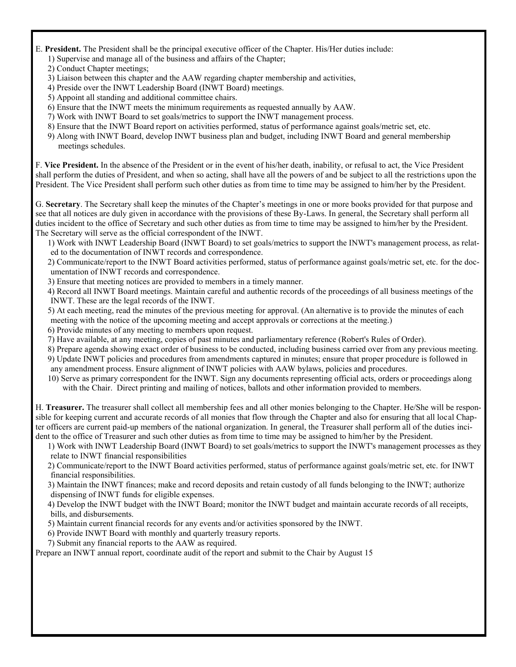- E. **President.** The President shall be the principal executive officer of the Chapter. His/Her duties include:
	- 1) Supervise and manage all of the business and affairs of the Chapter;
	- 2) Conduct Chapter meetings;
	- 3) Liaison between this chapter and the AAW regarding chapter membership and activities,
	- 4) Preside over the INWT Leadership Board (INWT Board) meetings.
	- 5) Appoint all standing and additional committee chairs.
	- 6) Ensure that the INWT meets the minimum requirements as requested annually by AAW.
	- 7) Work with INWT Board to set goals/metrics to support the INWT management process.
	- 8) Ensure that the INWT Board report on activities performed, status of performance against goals/metric set, etc.
	- 9) Along with INWT Board, develop INWT business plan and budget, including INWT Board and general membership meetings schedules.

F. **Vice President.** In the absence of the President or in the event of his/her death, inability, or refusal to act, the Vice President shall perform the duties of President, and when so acting, shall have all the powers of and be subject to all the restrictions upon the President. The Vice President shall perform such other duties as from time to time may be assigned to him/her by the President.

G. **Secretary**. The Secretary shall keep the minutes of the Chapter's meetings in one or more books provided for that purpose and see that all notices are duly given in accordance with the provisions of these By-Laws. In general, the Secretary shall perform all duties incident to the office of Secretary and such other duties as from time to time may be assigned to him/her by the President. The Secretary will serve as the official correspondent of the INWT.

1) Work with INWT Leadership Board (INWT Board) to set goals/metrics to support the INWT's management process, as related to the documentation of INWT records and correspondence.

- 2) Communicate/report to the INWT Board activities performed, status of performance against goals/metric set, etc. for the documentation of INWT records and correspondence.
- 3) Ensure that meeting notices are provided to members in a timely manner.

4) Record all INWT Board meetings. Maintain careful and authentic records of the proceedings of all business meetings of the INWT. These are the legal records of the INWT.

- 5) At each meeting, read the minutes of the previous meeting for approval. (An alternative is to provide the minutes of each meeting with the notice of the upcoming meeting and accept approvals or corrections at the meeting.)
- 6) Provide minutes of any meeting to members upon request.
- 7) Have available, at any meeting, copies of past minutes and parliamentary reference (Robert's Rules of Order).
- 8) Prepare agenda showing exact order of business to be conducted, including business carried over from any previous meeting. 9) Update INWT policies and procedures from amendments captured in minutes; ensure that proper procedure is followed in
- any amendment process. Ensure alignment of INWT policies with AAW bylaws, policies and procedures. 10) Serve as primary correspondent for the INWT. Sign any documents representing official acts, orders or proceedings along
	- with the Chair. Direct printing and mailing of notices, ballots and other information provided to members.

H. **Treasurer.** The treasurer shall collect all membership fees and all other monies belonging to the Chapter. He/She will be responsible for keeping current and accurate records of all monies that flow through the Chapter and also for ensuring that all local Chapter officers are current paid-up members of the national organization. In general, the Treasurer shall perform all of the duties incident to the office of Treasurer and such other duties as from time to time may be assigned to him/her by the President.

1) Work with INWT Leadership Board (INWT Board) to set goals/metrics to support the INWT's management processes as they relate to INWT financial responsibilities

- 2) Communicate/report to the INWT Board activities performed, status of performance against goals/metric set, etc. for INWT financial responsibilities.
- 3) Maintain the INWT finances; make and record deposits and retain custody of all funds belonging to the INWT; authorize dispensing of INWT funds for eligible expenses.

4) Develop the INWT budget with the INWT Board; monitor the INWT budget and maintain accurate records of all receipts, bills, and disbursements.

- 5) Maintain current financial records for any events and/or activities sponsored by the INWT.
- 6) Provide INWT Board with monthly and quarterly treasury reports.
- 7) Submit any financial reports to the AAW as required.

Prepare an INWT annual report, coordinate audit of the report and submit to the Chair by August 15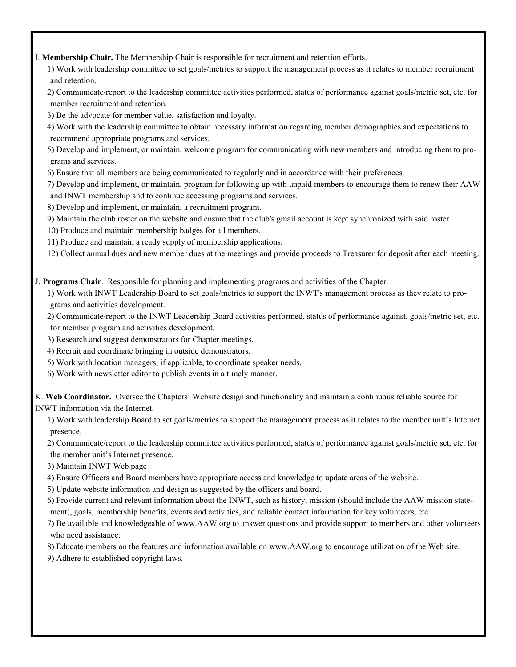I. **Membership Chair.** The Membership Chair is responsible for recruitment and retention efforts.

1) Work with leadership committee to set goals/metrics to support the management process as it relates to member recruitment and retention.

2) Communicate/report to the leadership committee activities performed, status of performance against goals/metric set, etc. for member recruitment and retention.

3) Be the advocate for member value, satisfaction and loyalty.

4) Work with the leadership committee to obtain necessary information regarding member demographics and expectations to recommend appropriate programs and services.

5) Develop and implement, or maintain, welcome program for communicating with new members and introducing them to programs and services.

6) Ensure that all members are being communicated to regularly and in accordance with their preferences.

7) Develop and implement, or maintain, program for following up with unpaid members to encourage them to renew their AAW and INWT membership and to continue accessing programs and services.

- 8) Develop and implement, or maintain, a recruitment program.
- 9) Maintain the club roster on the website and ensure that the club's gmail account is kept synchronized with said roster

10) Produce and maintain membership badges for all members.

11) Produce and maintain a ready supply of membership applications.

12) Collect annual dues and new member dues at the meetings and provide proceeds to Treasurer for deposit after each meeting.

J. **Programs Chair**. Responsible for planning and implementing programs and activities of the Chapter.

1) Work with INWT Leadership Board to set goals/metrics to support the INWT's management process as they relate to programs and activities development.

2) Communicate/report to the INWT Leadership Board activities performed, status of performance against, goals/metric set, etc. for member program and activities development.

- 3) Research and suggest demonstrators for Chapter meetings.
- 4) Recruit and coordinate bringing in outside demonstrators.
- 5) Work with location managers, if applicable, to coordinate speaker needs.
- 6) Work with newsletter editor to publish events in a timely manner.

K. **Web Coordinator.** Oversee the Chapters' Website design and functionality and maintain a continuous reliable source for INWT information via the Internet.

1) Work with leadership Board to set goals/metrics to support the management process as it relates to the member unit's Internet presence.

2) Communicate/report to the leadership committee activities performed, status of performance against goals/metric set, etc. for the member unit's Internet presence.

3) Maintain INWT Web page

- 4) Ensure Officers and Board members have appropriate access and knowledge to update areas of the website.
- 5) Update website information and design as suggested by the officers and board.

6) Provide current and relevant information about the INWT, such as history, mission (should include the AAW mission statement), goals, membership benefits, events and activities, and reliable contact information for key volunteers, etc.

7) Be available and knowledgeable of www.AAW.org to answer questions and provide support to members and other volunteers who need assistance.

8) Educate members on the features and information available on www.AAW.org to encourage utilization of the Web site.

9) Adhere to established copyright laws.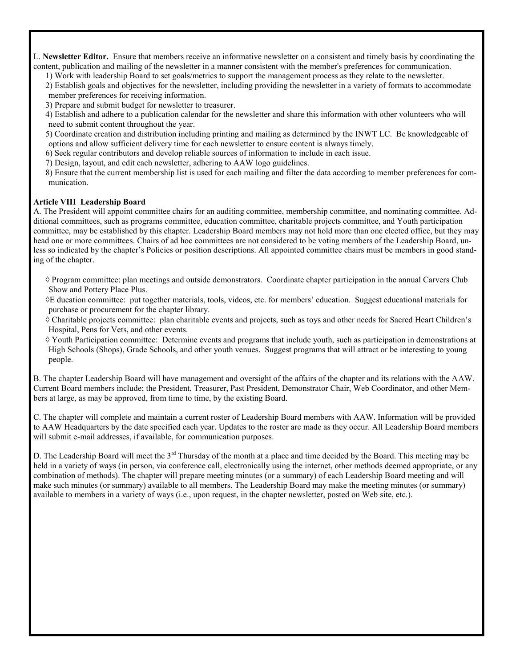L. **Newsletter Editor.** Ensure that members receive an informative newsletter on a consistent and timely basis by coordinating the content, publication and mailing of the newsletter in a manner consistent with the member's preferences for communication.

- 1) Work with leadership Board to set goals/metrics to support the management process as they relate to the newsletter.
- 2) Establish goals and objectives for the newsletter, including providing the newsletter in a variety of formats to accommodate member preferences for receiving information.
- 3) Prepare and submit budget for newsletter to treasurer.
- 4) Establish and adhere to a publication calendar for the newsletter and share this information with other volunteers who will need to submit content throughout the year.
- 5) Coordinate creation and distribution including printing and mailing as determined by the INWT LC. Be knowledgeable of options and allow sufficient delivery time for each newsletter to ensure content is always timely.
- 6) Seek regular contributors and develop reliable sources of information to include in each issue.
- 7) Design, layout, and edit each newsletter, adhering to AAW logo guidelines.
- 8) Ensure that the current membership list is used for each mailing and filter the data according to member preferences for communication.

#### **Article VIII Leadership Board**

A. The President will appoint committee chairs for an auditing committee, membership committee, and nominating committee. Additional committees, such as programs committee, education committee, charitable projects committee, and Youth participation committee, may be established by this chapter. Leadership Board members may not hold more than one elected office, but they may head one or more committees. Chairs of ad hoc committees are not considered to be voting members of the Leadership Board, unless so indicated by the chapter's Policies or position descriptions. All appointed committee chairs must be members in good standing of the chapter.

 Program committee: plan meetings and outside demonstrators. Coordinate chapter participation in the annual Carvers Club Show and Pottery Place Plus.

E ducation committee: put together materials, tools, videos, etc. for members' education. Suggest educational materials for purchase or procurement for the chapter library.

 Charitable projects committee: plan charitable events and projects, such as toys and other needs for Sacred Heart Children's Hospital, Pens for Vets, and other events.

 Youth Participation committee: Determine events and programs that include youth, such as participation in demonstrations at High Schools (Shops), Grade Schools, and other youth venues. Suggest programs that will attract or be interesting to young people.

B. The chapter Leadership Board will have management and oversight of the affairs of the chapter and its relations with the AAW. Current Board members include; the President, Treasurer, Past President, Demonstrator Chair, Web Coordinator, and other Members at large, as may be approved, from time to time, by the existing Board.

C. The chapter will complete and maintain a current roster of Leadership Board members with AAW. Information will be provided to AAW Headquarters by the date specified each year. Updates to the roster are made as they occur. All Leadership Board members will submit e-mail addresses, if available, for communication purposes.

D. The Leadership Board will meet the  $3<sup>rd</sup>$  Thursday of the month at a place and time decided by the Board. This meeting may be held in a variety of ways (in person, via conference call, electronically using the internet, other methods deemed appropriate, or any combination of methods). The chapter will prepare meeting minutes (or a summary) of each Leadership Board meeting and will make such minutes (or summary) available to all members. The Leadership Board may make the meeting minutes (or summary) available to members in a variety of ways (i.e., upon request, in the chapter newsletter, posted on Web site, etc.).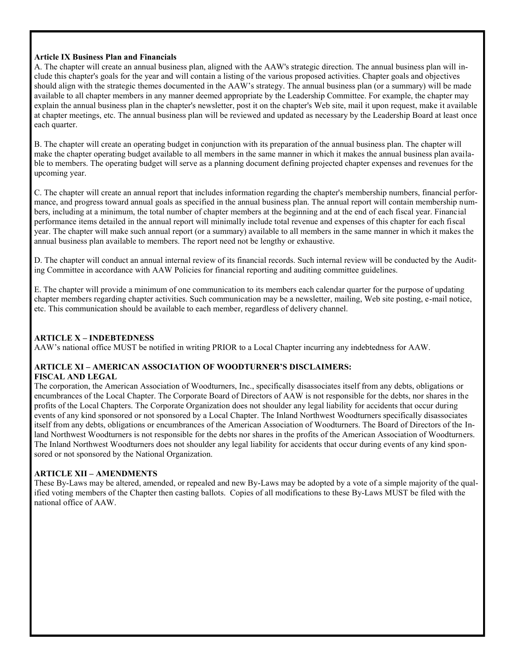#### **Article IX Business Plan and Financials**

A. The chapter will create an annual business plan, aligned with the AAW's strategic direction. The annual business plan will include this chapter's goals for the year and will contain a listing of the various proposed activities. Chapter goals and objectives should align with the strategic themes documented in the AAW's strategy. The annual business plan (or a summary) will be made available to all chapter members in any manner deemed appropriate by the Leadership Committee. For example, the chapter may explain the annual business plan in the chapter's newsletter, post it on the chapter's Web site, mail it upon request, make it available at chapter meetings, etc. The annual business plan will be reviewed and updated as necessary by the Leadership Board at least once each quarter.

B. The chapter will create an operating budget in conjunction with its preparation of the annual business plan. The chapter will make the chapter operating budget available to all members in the same manner in which it makes the annual business plan available to members. The operating budget will serve as a planning document defining projected chapter expenses and revenues for the upcoming year.

C. The chapter will create an annual report that includes information regarding the chapter's membership numbers, financial performance, and progress toward annual goals as specified in the annual business plan. The annual report will contain membership numbers, including at a minimum, the total number of chapter members at the beginning and at the end of each fiscal year. Financial performance items detailed in the annual report will minimally include total revenue and expenses of this chapter for each fiscal year. The chapter will make such annual report (or a summary) available to all members in the same manner in which it makes the annual business plan available to members. The report need not be lengthy or exhaustive.

D. The chapter will conduct an annual internal review of its financial records. Such internal review will be conducted by the Auditing Committee in accordance with AAW Policies for financial reporting and auditing committee guidelines.

E. The chapter will provide a minimum of one communication to its members each calendar quarter for the purpose of updating chapter members regarding chapter activities. Such communication may be a newsletter, mailing, Web site posting, e-mail notice, etc. This communication should be available to each member, regardless of delivery channel.

#### **ARTICLE X – INDEBTEDNESS**

AAW's national office MUST be notified in writing PRIOR to a Local Chapter incurring any indebtedness for AAW.

### **ARTICLE XI – AMERICAN ASSOCIATION OF WOODTURNER'S DISCLAIMERS:**

#### **FISCAL AND LEGAL**

The corporation, the American Association of Woodturners, Inc., specifically disassociates itself from any debts, obligations or encumbrances of the Local Chapter. The Corporate Board of Directors of AAW is not responsible for the debts, nor shares in the profits of the Local Chapters. The Corporate Organization does not shoulder any legal liability for accidents that occur during events of any kind sponsored or not sponsored by a Local Chapter. The Inland Northwest Woodturners specifically disassociates itself from any debts, obligations or encumbrances of the American Association of Woodturners. The Board of Directors of the Inland Northwest Woodturners is not responsible for the debts nor shares in the profits of the American Association of Woodturners. The Inland Northwest Woodturners does not shoulder any legal liability for accidents that occur during events of any kind sponsored or not sponsored by the National Organization.

#### **ARTICLE XII – AMENDMENTS**

These By-Laws may be altered, amended, or repealed and new By-Laws may be adopted by a vote of a simple majority of the qualified voting members of the Chapter then casting ballots. Copies of all modifications to these By-Laws MUST be filed with the national office of AAW.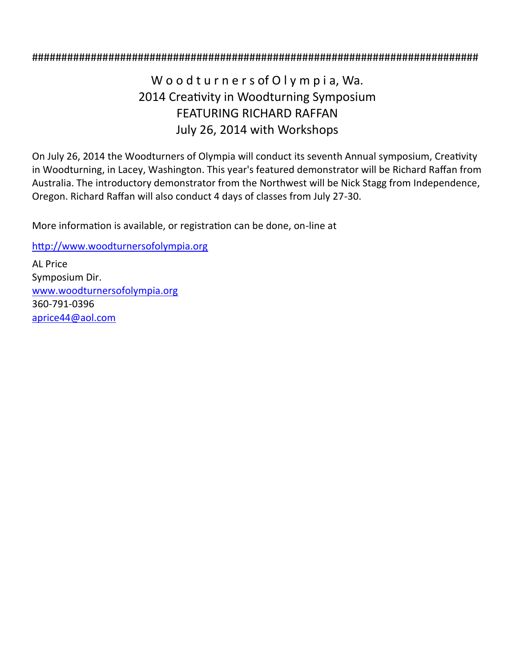#### ############################################################################

### W o o d t u r n e r s of O I y m p i a, Wa. 2014 Creativity in Woodturning Symposium FEATURING RICHARD RAFFAN July 26, 2014 with Workshops

On July 26, 2014 the Woodturners of Olympia will conduct its seventh Annual symposium, Creativity in Woodturning, in Lacey, Washington. This year's featured demonstrator will be Richard Raffan from Australia. The introductory demonstrator from the Northwest will be Nick Stagg from Independence, Oregon. Richard Raffan will also conduct 4 days of classes from July 27-30.

More information is available, or registration can be done, on-line at

[http://www.woodturnersofolympia.org](http://r20.rs6.net/tn.jsp?e=001uFJv5JF3ZOWK_rDAUbQfAFAU94iMtDd34RyRwMW4L-Pp1Gs2Wjza39mN9OtAYTUX5YXS0YZdIYGCU6643Sdvyxxr3iddCO9v1glfUO-6EYajEGkLzxqA6ord0fndhoQ67Z4ATqSrwiX3GwwldO_XyG4bxZ7fnDChC3NRUfCbZiNK2sscb88mojjWua22U2bwZOsrucz1_jGLv1l_sdkZInz1wXMbJP9WehcM)

[AL](https://picasaweb.google.com/101019839709703453331/INWWOct32013?authuser=0&authkey=Gv1sRgCMyfi4G_27u77gE&feat=directlink) Price Symposium Dir. [www.woodturnersofolympia.org](http://r20.rs6.net/tn.jsp?e=001uFJv5JF3ZOWK_rDAUbQfAFAU94iMtDd34RyRwMW4L-Pp1Gs2Wjza39mN9OtAYTUX5YXS0YZdIYGCU6643Sdvyxxr3iddCO9v1glfUO-6EYajEGkLzxqA6ord0fndhoQ67Z4ATqSrwiX3GwwldO_XyG4bxZ7fnDChC3NRUfCbZiNK2sscb88mojjWua22U2bwZOsrucz1_jGLv1l_sdkZInz1wXMbJP9WehcM) 360-791-0396 [aprice44@aol.com](mailto:aprice44@aol.com)